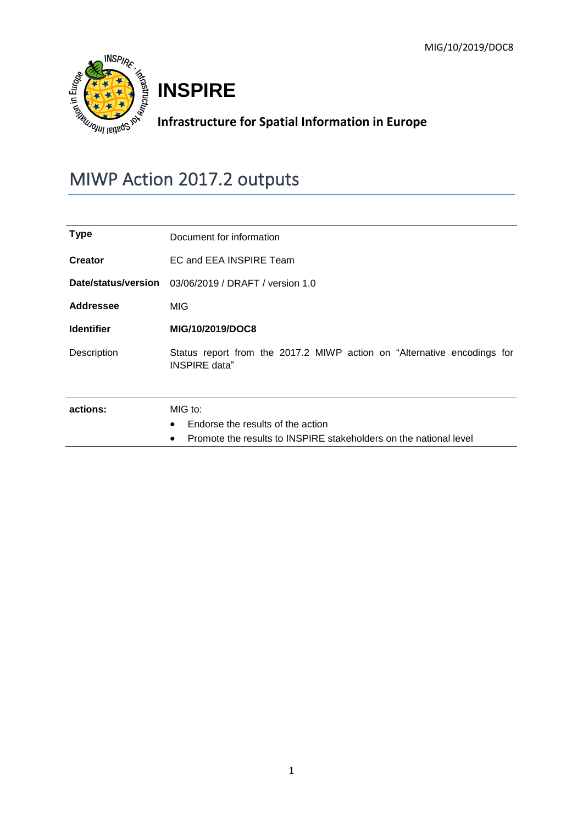

# **INSPIRE**

## **Infrastructure for Spatial Information in Europe**

## MIWP Action 2017.2 outputs

| <b>Type</b>       | Document for information                                                                 |  |  |  |  |  |
|-------------------|------------------------------------------------------------------------------------------|--|--|--|--|--|
| <b>Creator</b>    | EC and EEA INSPIRE Team                                                                  |  |  |  |  |  |
|                   | Date/status/version 03/06/2019 / DRAFT / version 1.0                                     |  |  |  |  |  |
| <b>Addressee</b>  | MIG                                                                                      |  |  |  |  |  |
| <b>Identifier</b> | MIG/10/2019/DOC8                                                                         |  |  |  |  |  |
| Description       | Status report from the 2017.2 MIWP action on "Alternative encodings for<br>INSPIRE data" |  |  |  |  |  |
| actions:          | MIG to:                                                                                  |  |  |  |  |  |
|                   | Endorse the results of the action<br>$\bullet$                                           |  |  |  |  |  |
|                   | Promote the results to INSPIRE stakeholders on the national level<br>٠                   |  |  |  |  |  |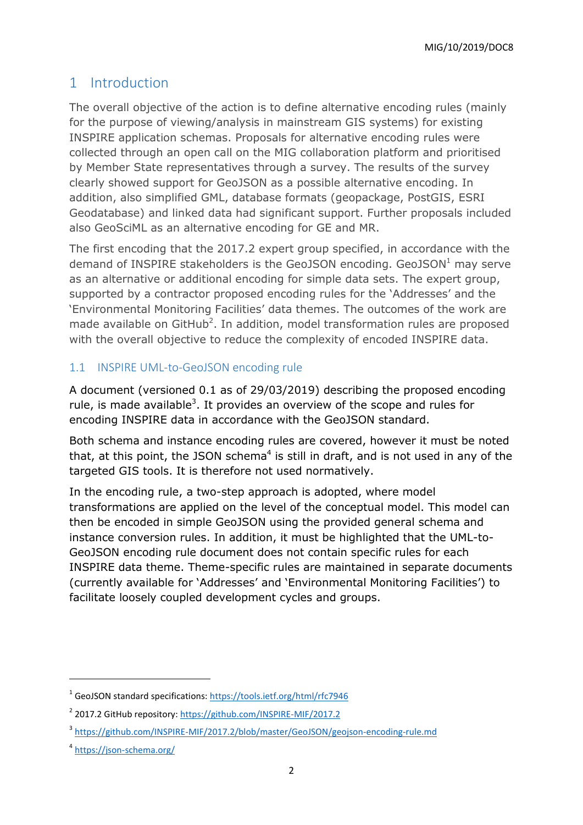MIG/10/2019/DOC8

### 1 Introduction

The overall objective of the action is to define alternative encoding rules (mainly for the purpose of viewing/analysis in mainstream GIS systems) for existing INSPIRE application schemas. Proposals for alternative encoding rules were collected through an open call on the MIG collaboration platform and prioritised by Member State representatives through a survey. The results of the survey clearly showed support for GeoJSON as a possible alternative encoding. In addition, also simplified GML, database formats (geopackage, PostGIS, ESRI Geodatabase) and linked data had significant support. Further proposals included also GeoSciML as an alternative encoding for GE and MR.

The first encoding that the 2017.2 expert group specified, in accordance with the demand of INSPIRE stakeholders is the GeoJSON encoding. GeoJSON $<sup>1</sup>$  may serve</sup> as an alternative or additional encoding for simple data sets. The expert group, supported by a contractor proposed encoding rules for the 'Addresses' and the 'Environmental Monitoring Facilities' data themes. The outcomes of the work are made available on  $G$ itHub<sup>2</sup>. In addition, model transformation rules are proposed with the overall objective to reduce the complexity of encoded INSPIRE data.

#### 1.1 INSPIRE UML-to-GeoJSON encoding rule

A document (versioned 0.1 as of 29/03/2019) describing the proposed encoding rule, is made available<sup>3</sup>. It provides an overview of the scope and rules for encoding INSPIRE data in accordance with the GeoJSON standard.

Both schema and instance encoding rules are covered, however it must be noted that, at this point, the JSON schema<sup>4</sup> is still in draft, and is not used in any of the targeted GIS tools. It is therefore not used normatively.

In the encoding rule, a two-step approach is adopted, where model transformations are applied on the level of the conceptual model. This model can then be encoded in simple GeoJSON using the provided general schema and instance conversion rules. In addition, it must be highlighted that the UML-to-GeoJSON encoding rule document does not contain specific rules for each INSPIRE data theme. Theme-specific rules are maintained in separate documents (currently available for 'Addresses' and 'Environmental Monitoring Facilities') to facilitate loosely coupled development cycles and groups.

1

<sup>&</sup>lt;sup>1</sup> GeoJSON standard specifications:<https://tools.ietf.org/html/rfc7946>

<sup>&</sup>lt;sup>2</sup> 2017.2 GitHub repository:<https://github.com/INSPIRE-MIF/2017.2>

<sup>&</sup>lt;sup>3</sup> <https://github.com/INSPIRE-MIF/2017.2/blob/master/GeoJSON/geojson-encoding-rule.md>

<sup>&</sup>lt;sup>4</sup> <https://json-schema.org/>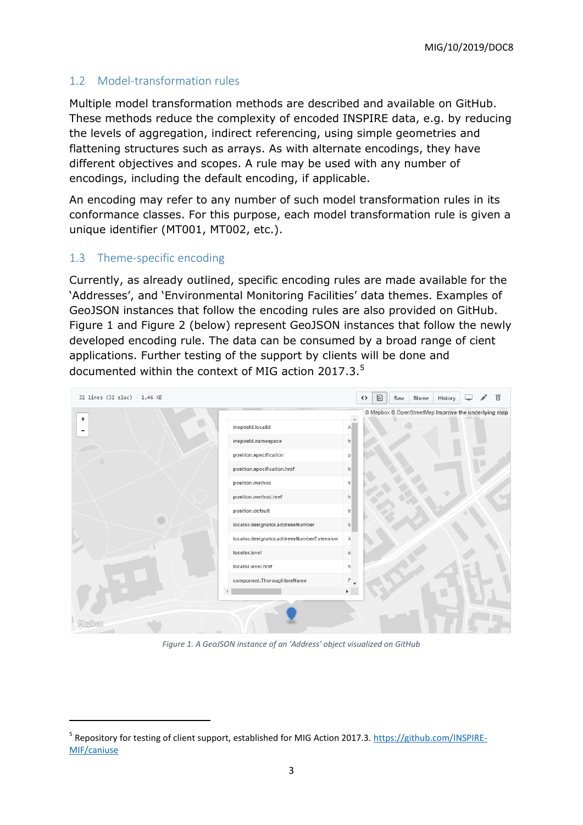#### 1.2 Model-transformation rules

Multiple model transformation methods are described and available on GitHub. These methods reduce the complexity of encoded INSPIRE data, e.g. by reducing the levels of aggregation, indirect referencing, using simple geometries and flattening structures such as arrays. As with alternate encodings, they have different objectives and scopes. A rule may be used with any number of encodings, including the default encoding, if applicable.

An encoding may refer to any number of such model transformation rules in its conformance classes. For this purpose, each model transformation rule is given a unique identifier (MT001, MT002, etc.).

#### 1.3 Theme-specific encoding

<span id="page-2-0"></span>1

Currently, as already outlined, specific encoding rules are made available for the 'Addresses', and 'Environmental Monitoring Facilities' data themes. Examples of GeoJSON instances that follow the encoding rules are also provided on GitHub. [Figure 1](#page-2-0) and [Figure 2](#page-3-0) (below) represent GeoJSON instances that follow the newly developed encoding rule. The data can be consumed by a broad range of cient applications. Further testing of the support by clients will be done and documented within the context of MIG action 2017.3.<sup>5</sup>

| 32 lines (32 sloc)   1.46 KB |                                           |                | $\quad \  \  \, \boxdot \quad \  \  \,$<br>⇔ | Raw | Blame | History                                             |  | m |
|------------------------------|-------------------------------------------|----------------|----------------------------------------------|-----|-------|-----------------------------------------------------|--|---|
| $\ddot{\phantom{1}}$         |                                           |                |                                              |     |       | © Mapbox © OpenStreetMap Improve the underlying map |  |   |
| -                            | inspireId.localId                         | А              |                                              |     |       |                                                     |  |   |
|                              | inspireld.namespace                       | h              |                                              |     |       |                                                     |  |   |
|                              | position.specification                    | p              |                                              |     |       |                                                     |  |   |
|                              | position.specification.href               | h <sub>i</sub> |                                              |     |       |                                                     |  |   |
|                              | position.method                           | $f_{\Gamma}$   |                                              |     |       |                                                     |  |   |
|                              | position.method.href                      | h              |                                              |     |       |                                                     |  |   |
|                              | position.default                          | tr             |                                              |     |       |                                                     |  |   |
|                              | locator.designator.addressNumber          | $\sqrt{5}$     |                                              |     |       |                                                     |  |   |
|                              | locator.designator.addressNumberExtension | А              |                                              |     |       |                                                     |  |   |
|                              | locator.level                             | si             |                                              |     |       |                                                     |  |   |
|                              | locator.level.href                        | h              |                                              |     |       |                                                     |  |   |
|                              | component.ThoroughfareName                | $F_{+}$        |                                              |     |       |                                                     |  |   |
|                              |                                           | $\mathbb{E}$   |                                              |     |       |                                                     |  |   |
|                              |                                           |                |                                              |     |       |                                                     |  |   |
| <b>Mepbox</b>                |                                           |                |                                              |     |       |                                                     |  |   |

*Figure 1. A GeoJSON instance of an 'Address' object visualized on GitHub*

<sup>&</sup>lt;sup>5</sup> Repository for testing of client support, established for MIG Action 2017.3[. https://github.com/INSPIRE-](https://github.com/INSPIRE-MIF/caniuse)[MIF/caniuse](https://github.com/INSPIRE-MIF/caniuse)